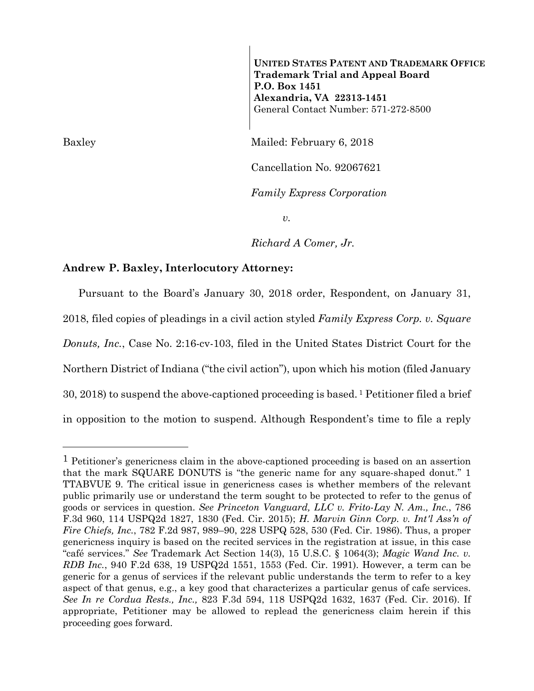**UNITED STATES PATENT AND TRADEMARK OFFICE Trademark Trial and Appeal Board P.O. Box 1451 Alexandria, VA 22313-1451**  General Contact Number: 571-272-8500

Baxley Mailed: February 6, 2018

Cancellation No. 92067621

*Family Express Corporation* 

 $v_{\rm}$ 

*Richard A Comer, Jr.* 

## **Andrew P. Baxley, Interlocutory Attorney:**

Pursuant to the Board's January 30, 2018 order, Respondent, on January 31, 2018, filed copies of pleadings in a civil action styled *Family Express Corp. v. Square Donuts, Inc.*, Case No. 2:16-cv-103, filed in the United States District Court for the Northern District of Indiana ("the civil action"), upon which his motion (filed January 30, 2018) to suspend the above-captioned proceeding is based. 1 Petitioner filed a brief in opposition to the motion to suspend. Although Respondent's time to file a reply

a<br>B

<sup>&</sup>lt;sup>1</sup> Petitioner's genericness claim in the above-captioned proceeding is based on an assertion that the mark SQUARE DONUTS is "the generic name for any square-shaped donut." 1 TTABVUE 9. The critical issue in genericness cases is whether members of the relevant public primarily use or understand the term sought to be protected to refer to the genus of goods or services in question. *See Princeton Vanguard, LLC v. Frito-Lay N. Am., Inc.*, 786 F.3d 960, 114 USPQ2d 1827, 1830 (Fed. Cir. 2015); *H. Marvin Ginn Corp. v. Int'l Ass'n of Fire Chiefs, Inc.*, 782 F.2d 987, 989–90, 228 USPQ 528, 530 (Fed. Cir. 1986). Thus, a proper genericness inquiry is based on the recited services in the registration at issue, in this case "café services." *See* Trademark Act Section 14(3), 15 U.S.C. § 1064(3); *Magic Wand Inc. v. RDB Inc.*, 940 F.2d 638, 19 USPQ2d 1551, 1553 (Fed. Cir. 1991). However, a term can be generic for a genus of services if the relevant public understands the term to refer to a key aspect of that genus, e.g., a key good that characterizes a particular genus of cafe services. *See In re Cordua Rests., Inc.,* 823 F.3d 594, 118 USPQ2d 1632, 1637 (Fed. Cir. 2016). If appropriate, Petitioner may be allowed to replead the genericness claim herein if this proceeding goes forward.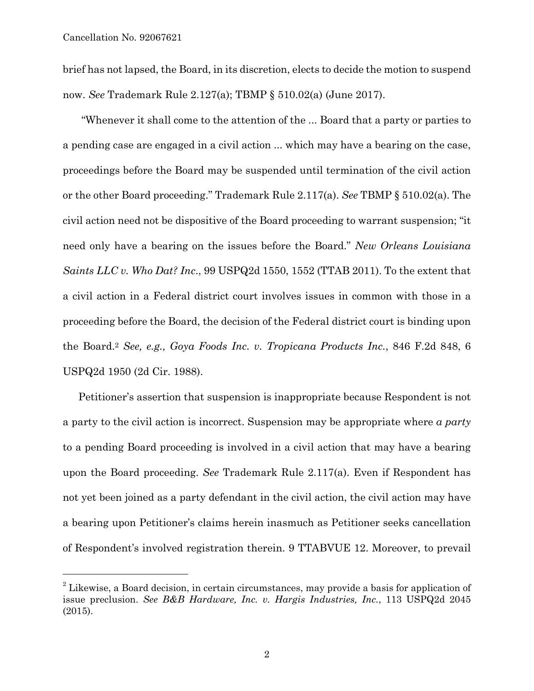a<br>B

brief has not lapsed, the Board, in its discretion, elects to decide the motion to suspend now. *See* Trademark Rule 2.127(a); TBMP § 510.02(a) (June 2017).

 "Whenever it shall come to the attention of the ... Board that a party or parties to a pending case are engaged in a civil action ... which may have a bearing on the case, proceedings before the Board may be suspended until termination of the civil action or the other Board proceeding." Trademark Rule 2.117(a). *See* TBMP § 510.02(a). The civil action need not be dispositive of the Board proceeding to warrant suspension; "it need only have a bearing on the issues before the Board." *New Orleans Louisiana Saints LLC v. Who Dat? Inc*., 99 USPQ2d 1550, 1552 (TTAB 2011). To the extent that a civil action in a Federal district court involves issues in common with those in a proceeding before the Board, the decision of the Federal district court is binding upon the Board.2 *See, e.g., Goya Foods Inc. v. Tropicana Products Inc.*, 846 F.2d 848, 6 USPQ2d 1950 (2d Cir. 1988).

Petitioner's assertion that suspension is inappropriate because Respondent is not a party to the civil action is incorrect. Suspension may be appropriate where *a party* to a pending Board proceeding is involved in a civil action that may have a bearing upon the Board proceeding. *See* Trademark Rule 2.117(a). Even if Respondent has not yet been joined as a party defendant in the civil action, the civil action may have a bearing upon Petitioner's claims herein inasmuch as Petitioner seeks cancellation of Respondent's involved registration therein. 9 TTABVUE 12. Moreover, to prevail

<sup>&</sup>lt;sup>2</sup> Likewise, a Board decision, in certain circumstances, may provide a basis for application of issue preclusion. *See B&B Hardware, Inc. v. Hargis Industries, Inc.*, 113 USPQ2d 2045 (2015).